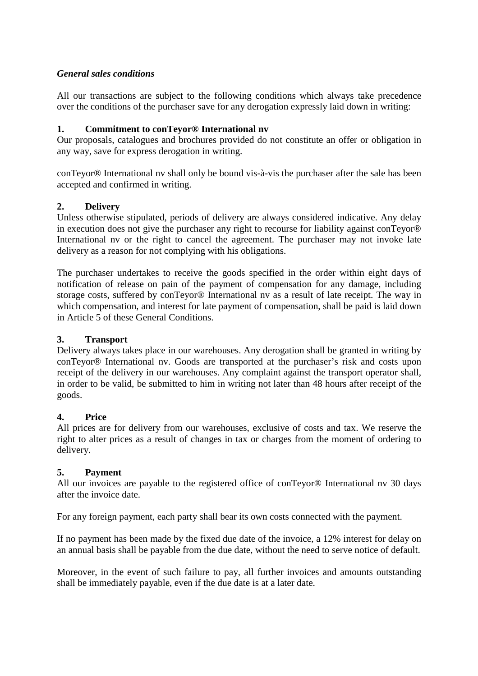## *General sales conditions*

All our transactions are subject to the following conditions which always take precedence over the conditions of the purchaser save for any derogation expressly laid down in writing:

#### **1. Commitment to conTeyor® International nv**

Our proposals, catalogues and brochures provided do not constitute an offer or obligation in any way, save for express derogation in writing.

conTeyor® International nv shall only be bound vis-à-vis the purchaser after the sale has been accepted and confirmed in writing.

#### **2. Delivery**

Unless otherwise stipulated, periods of delivery are always considered indicative. Any delay in execution does not give the purchaser any right to recourse for liability against conTeyor® International nv or the right to cancel the agreement. The purchaser may not invoke late delivery as a reason for not complying with his obligations.

The purchaser undertakes to receive the goods specified in the order within eight days of notification of release on pain of the payment of compensation for any damage, including storage costs, suffered by conTeyor® International nv as a result of late receipt. The way in which compensation, and interest for late payment of compensation, shall be paid is laid down in Article 5 of these General Conditions.

#### **3. Transport**

Delivery always takes place in our warehouses. Any derogation shall be granted in writing by conTeyor® International nv. Goods are transported at the purchaser's risk and costs upon receipt of the delivery in our warehouses. Any complaint against the transport operator shall, in order to be valid, be submitted to him in writing not later than 48 hours after receipt of the goods.

## **4. Price**

All prices are for delivery from our warehouses, exclusive of costs and tax. We reserve the right to alter prices as a result of changes in tax or charges from the moment of ordering to delivery.

#### **5. Payment**

All our invoices are payable to the registered office of conTeyor® International nv 30 days after the invoice date.

For any foreign payment, each party shall bear its own costs connected with the payment.

If no payment has been made by the fixed due date of the invoice, a 12% interest for delay on an annual basis shall be payable from the due date, without the need to serve notice of default.

Moreover, in the event of such failure to pay, all further invoices and amounts outstanding shall be immediately payable, even if the due date is at a later date.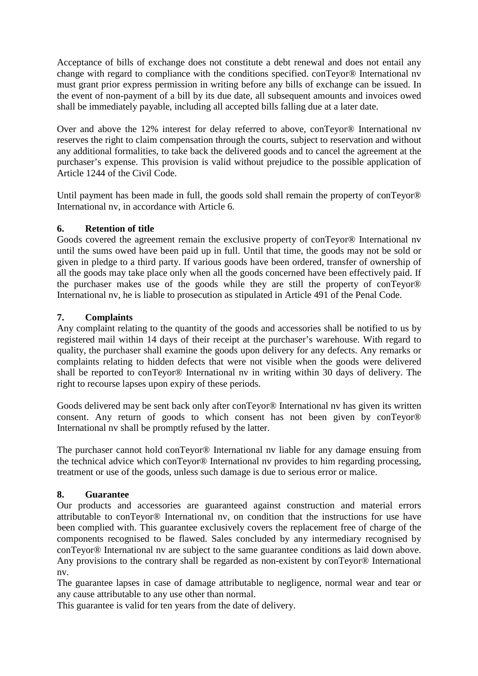Acceptance of bills of exchange does not constitute a debt renewal and does not entail any change with regard to compliance with the conditions specified. conTeyor® International nv must grant prior express permission in writing before any bills of exchange can be issued. In the event of non-payment of a bill by its due date, all subsequent amounts and invoices owed shall be immediately payable, including all accepted bills falling due at a later date.

Over and above the 12% interest for delay referred to above, conTeyor® International nv reserves the right to claim compensation through the courts, subject to reservation and without any additional formalities, to take back the delivered goods and to cancel the agreement at the purchaser's expense. This provision is valid without prejudice to the possible application of Article 1244 of the Civil Code.

Until payment has been made in full, the goods sold shall remain the property of conTeyor® International nv, in accordance with Article 6.

## **6. Retention of title**

Goods covered the agreement remain the exclusive property of conTeyor® International nv until the sums owed have been paid up in full. Until that time, the goods may not be sold or given in pledge to a third party. If various goods have been ordered, transfer of ownership of all the goods may take place only when all the goods concerned have been effectively paid. If the purchaser makes use of the goods while they are still the property of conTeyor® International nv, he is liable to prosecution as stipulated in Article 491 of the Penal Code.

## **7. Complaints**

Any complaint relating to the quantity of the goods and accessories shall be notified to us by registered mail within 14 days of their receipt at the purchaser's warehouse. With regard to quality, the purchaser shall examine the goods upon delivery for any defects. Any remarks or complaints relating to hidden defects that were not visible when the goods were delivered shall be reported to conTeyor® International nv in writing within 30 days of delivery. The right to recourse lapses upon expiry of these periods.

Goods delivered may be sent back only after conTeyor® International nv has given its written consent. Any return of goods to which consent has not been given by conTeyor® International nv shall be promptly refused by the latter.

The purchaser cannot hold conTeyor® International nv liable for any damage ensuing from the technical advice which conTeyor® International nv provides to him regarding processing, treatment or use of the goods, unless such damage is due to serious error or malice.

## **8. Guarantee**

Our products and accessories are guaranteed against construction and material errors attributable to conTeyor® International nv, on condition that the instructions for use have been complied with. This guarantee exclusively covers the replacement free of charge of the components recognised to be flawed. Sales concluded by any intermediary recognised by conTeyor® International nv are subject to the same guarantee conditions as laid down above. Any provisions to the contrary shall be regarded as non-existent by conTeyor® International nv.

The guarantee lapses in case of damage attributable to negligence, normal wear and tear or any cause attributable to any use other than normal.

This guarantee is valid for ten years from the date of delivery.